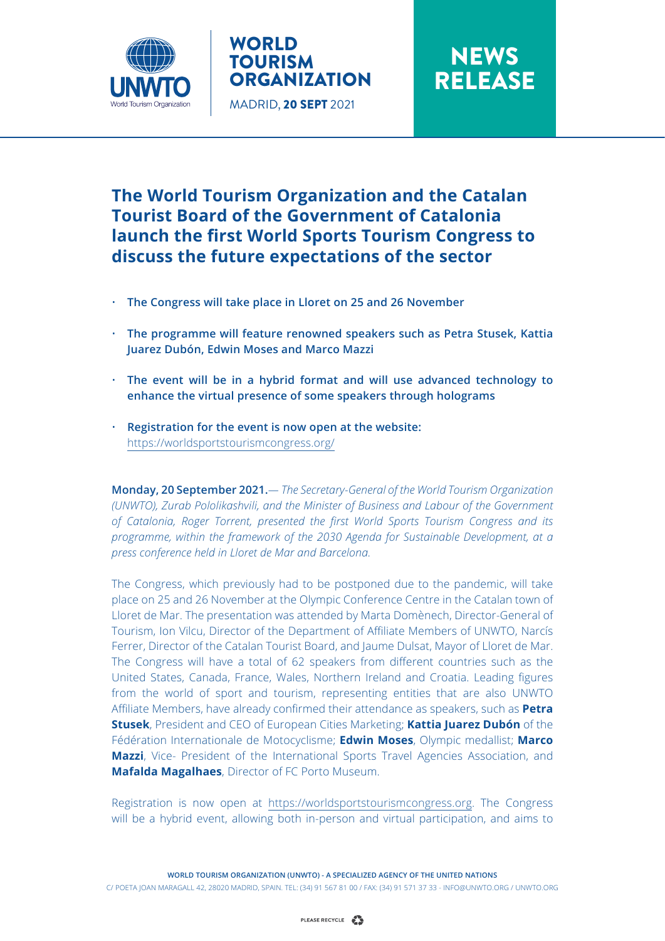

### WORLD TOURISM **ORGANIZATION** MADRID, 20 SEPT 2021

# **NEWS** RELEASE

## **The World Tourism Organization and the Catalan Tourist Board of the Government of Catalonia launch the first World Sports Tourism Congress to discuss the future expectations of the sector**

- **The Congress will take place in Lloret on 25 and 26 November**
- **The programme will feature renowned speakers such as Petra Stusek, Kattia Juarez Dubón, Edwin Moses and Marco Mazzi**
- **The event will be in a hybrid format and will use advanced technology to enhance the virtual presence of some speakers through holograms**
- **Registration for the event is now open at the website:**  <https://worldsportstourismcongress.org/>

**Monday, 20 September 2021.***— The Secretary-General of the World Tourism Organization (UNWTO), Zurab Pololikashvili, and the Minister of Business and Labour of the Government of Catalonia, Roger Torrent, presented the first World Sports Tourism Congress and its programme, within the framework of the 2030 Agenda for Sustainable Development, at a press conference held in Lloret de Mar and Barcelona.*

The Congress, which previously had to be postponed due to the pandemic, will take place on 25 and 26 November at the Olympic Conference Centre in the Catalan town of Lloret de Mar. The presentation was attended by Marta Domènech, Director-General of Tourism, Ion Vilcu, Director of the Department of Affiliate Members of UNWTO, Narcís Ferrer, Director of the Catalan Tourist Board, and Jaume Dulsat, Mayor of Lloret de Mar. The Congress will have a total of 62 speakers from different countries such as the United States, Canada, France, Wales, Northern Ireland and Croatia. Leading figures from the world of sport and tourism, representing entities that are also UNWTO Affiliate Members, have already confirmed their attendance as speakers, such as **Petra Stusek**, President and CEO of European Cities Marketing; **Kattia Juarez Dubón** of the Fédération Internationale de Motocyclisme; **Edwin Moses**, Olympic medallist; **Marco Mazzi**, Vice- President of the International Sports Travel Agencies Association, and **Mafalda Magalhaes**, Director of FC Porto Museum.

Registration is now open at https://worldsportstourismcongress.org. The Congress will be a hybrid event, allowing both in-person and virtual participation, and aims to

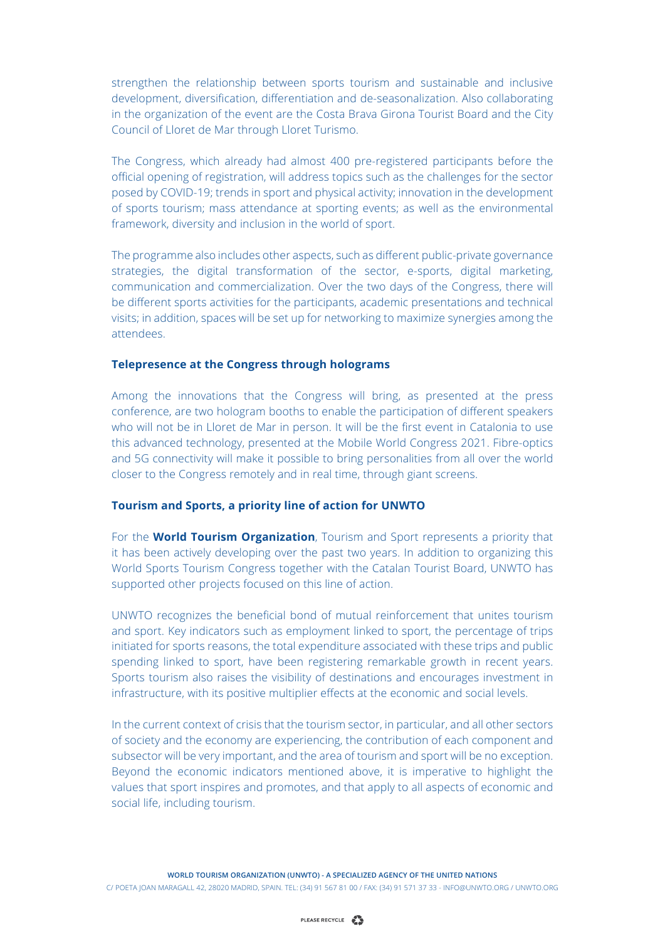strengthen the relationship between sports tourism and sustainable and inclusive development, diversification, differentiation and de-seasonalization. Also collaborating in the organization of the event are the Costa Brava Girona Tourist Board and the City Council of Lloret de Mar through Lloret Turismo.

The Congress, which already had almost 400 pre-registered participants before the official opening of registration, will address topics such as the challenges for the sector posed by COVID-19; trends in sport and physical activity; innovation in the development of sports tourism; mass attendance at sporting events; as well as the environmental framework, diversity and inclusion in the world of sport.

The programme also includes other aspects, such as different public-private governance strategies, the digital transformation of the sector, e-sports, digital marketing, communication and commercialization. Over the two days of the Congress, there will be different sports activities for the participants, academic presentations and technical visits; in addition, spaces will be set up for networking to maximize synergies among the attendees.

#### **Telepresence at the Congress through holograms**

Among the innovations that the Congress will bring, as presented at the press conference, are two hologram booths to enable the participation of different speakers who will not be in Lloret de Mar in person. It will be the first event in Catalonia to use this advanced technology, presented at the Mobile World Congress 2021. Fibre-optics and 5G connectivity will make it possible to bring personalities from all over the world closer to the Congress remotely and in real time, through giant screens.

#### **Tourism and Sports, a priority line of action for UNWTO**

For the **World Tourism Organization**, Tourism and Sport represents a priority that it has been actively developing over the past two years. In addition to organizing this World Sports Tourism Congress together with the Catalan Tourist Board, UNWTO has supported other projects focused on this line of action.

UNWTO recognizes the beneficial bond of mutual reinforcement that unites tourism and sport. Key indicators such as employment linked to sport, the percentage of trips initiated for sports reasons, the total expenditure associated with these trips and public spending linked to sport, have been registering remarkable growth in recent years. Sports tourism also raises the visibility of destinations and encourages investment in infrastructure, with its positive multiplier effects at the economic and social levels.

In the current context of crisis that the tourism sector, in particular, and all other sectors of society and the economy are experiencing, the contribution of each component and subsector will be very important, and the area of tourism and sport will be no exception. Beyond the economic indicators mentioned above, it is imperative to highlight the values that sport inspires and promotes, and that apply to all aspects of economic and social life, including tourism.